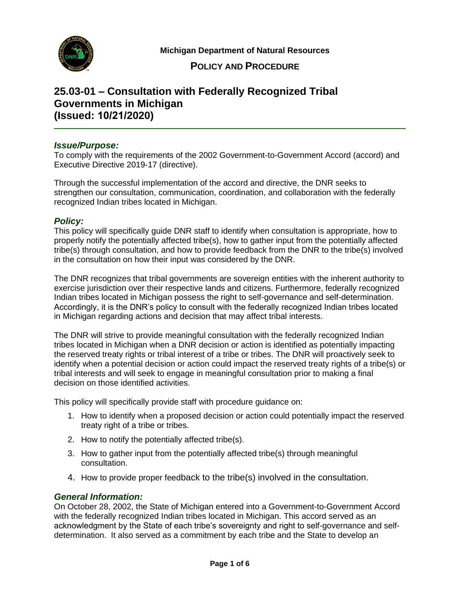

 **Michigan Department of Natural Resources** 

## **POLICY AND PROCEDURE**

# **25.03-01 – Consultation with Federally Recognized Tribal Governments in Michigan (Issued: 10/21/2020)**

## *Issue/Purpose:*

 To comply with the requirements of the 2002 Government-to-Government Accord (accord) and Executive Directive 2019-17 (directive).

 Through the successful implementation of the accord and directive, the DNR seeks to strengthen our consultation, communication, coordination, and collaboration with the federally recognized Indian tribes located in Michigan.

## *Policy:*

 This policy will specifically guide DNR staff to identify when consultation is appropriate, how to properly notify the potentially affected tribe(s), how to gather input from the potentially affected tribe(s) through consultation, and how to provide feedback from the DNR to the tribe(s) involved in the consultation on how their input was considered by the DNR.

 The DNR recognizes that tribal governments are sovereign entities with the inherent authority to exercise jurisdiction over their respective lands and citizens. Furthermore, federally recognized Indian tribes located in Michigan possess the right to self-governance and self-determination. Accordingly, it is the DNR's policy to consult with the federally recognized Indian tribes located in Michigan regarding actions and decision that may affect tribal interests.

 The DNR will strive to provide meaningful consultation with the federally recognized Indian tribes located in Michigan when a DNR decision or action is identified as potentially impacting the reserved treaty rights or tribal interest of a tribe or tribes. The DNR will proactively seek to identify when a potential decision or action could impact the reserved treaty rights of a tribe(s) or tribal interests and will seek to engage in meaningful consultation prior to making a final decision on those identified activities.

This policy will specifically provide staff with procedure guidance on:

- 1. How to identify when a proposed decision or action could potentially impact the reserved treaty right of a tribe or tribes.
- 2. How to notify the potentially affected tribe(s).
- 3. How to gather input from the potentially affected tribe(s) through meaningful consultation.
- 4. How to provide proper feedback to the tribe(s) involved in the consultation.

#### *General Information:*

 On October 28, 2002, the State of Michigan entered into a Government-to-Government Accord with the federally recognized Indian tribes located in Michigan. This accord served as an acknowledgment by the State of each tribe's sovereignty and right to self-governance and self-determination. It also served as a commitment by each tribe and the State to develop an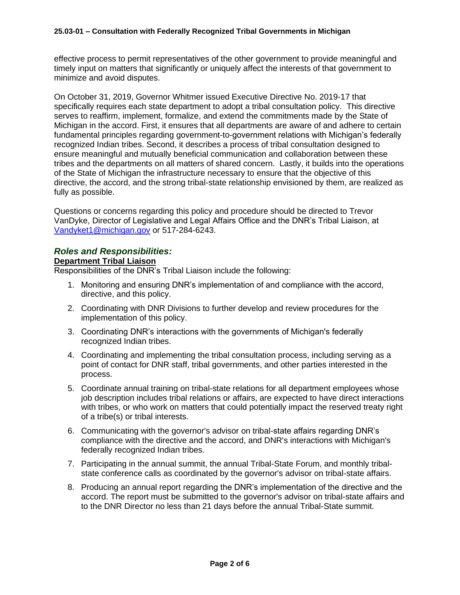effective process to permit representatives of the other government to provide meaningful and timely input on matters that significantly or uniquely affect the interests of that government to minimize and avoid disputes.

 On October 31, 2019, Governor Whitmer issued Executive Directive No. 2019-17 that specifically requires each state department to adopt a tribal consultation policy. This directive serves to reaffirm, implement, formalize, and extend the commitments made by the State of Michigan in the accord. First, it ensures that all departments are aware of and adhere to certain recognized Indian tribes. Second, it describes a process of tribal consultation designed to ensure meaningful and mutually beneficial communication and collaboration between these tribes and the departments on all matters of shared concern. Lastly, it builds into the operations of the State of Michigan the infrastructure necessary to ensure that the objective of this directive, the accord, and the strong tribal-state relationship envisioned by them, are realized as fundamental principles regarding government-to-government relations with Michigan's federally fully as possible.

 Questions or concerns regarding this policy and procedure should be directed to Trevor VanDyke, Director of Legislative and Legal Affairs Office and the DNR's Tribal Liaison, at [Vandyket1@michigan.gov](mailto:Vandyket1@michigan.gov) or 517-284-6243.

## *Roles and Responsibilities:*

#### **Department Tribal Liaison**

Responsibilities of the DNR's Tribal Liaison include the following:

- 1. Monitoring and ensuring DNR's implementation of and compliance with the accord, directive, and this policy.
- 2. Coordinating with DNR Divisions to further develop and review procedures for the implementation of this policy.
- 3. Coordinating DNR's interactions with the governments of Michigan's federally recognized Indian tribes.
- 4. Coordinating and implementing the tribal consultation process, including serving as a point of contact for DNR staff, tribal governments, and other parties interested in the process.
- 5. Coordinate annual training on tribal-state relations for all department employees whose job description includes tribal relations or affairs, are expected to have direct interactions with tribes, or who work on matters that could potentially impact the reserved treaty right of a tribe(s) or tribal interests.
- 6. Communicating with the governor's advisor on tribal-state affairs regarding DNR's compliance with the directive and the accord, and DNR's interactions with Michigan's federally recognized Indian tribes.
- 7. Participating in the annual summit, the annual Tribal-State Forum, and monthly tribal-state conference calls as coordinated by the governor's advisor on tribal-state affairs.
- 8. Producing an annual report regarding the DNR's implementation of the directive and the accord. The report must be submitted to the governor's advisor on tribal-state affairs and to the DNR Director no less than 21 days before the annual Tribal-State summit.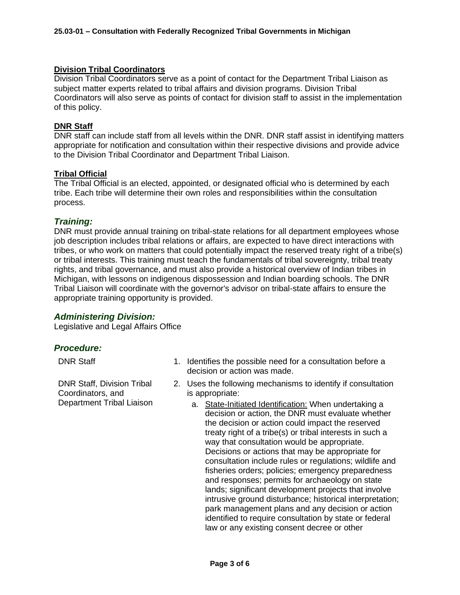#### **Division Tribal Coordinators**

 Division Tribal Coordinators serve as a point of contact for the Department Tribal Liaison as subject matter experts related to tribal affairs and division programs. Division Tribal Coordinators will also serve as points of contact for division staff to assist in the implementation of this policy.

### **DNR Staff**

 DNR staff can include staff from all levels within the DNR. DNR staff assist in identifying matters appropriate for notification and consultation within their respective divisions and provide advice to the Division Tribal Coordinator and Department Tribal Liaison.

#### **Tribal Official**

 The Tribal Official is an elected, appointed, or designated official who is determined by each tribe. Each tribe will determine their own roles and responsibilities within the consultation process.

## *Training:*

 DNR must provide annual training on tribal-state relations for all department employees whose job description includes tribal relations or affairs, are expected to have direct interactions with tribes, or who work on matters that could potentially impact the reserved treaty right of a tribe(s) or tribal interests. This training must teach the fundamentals of tribal sovereignty, tribal treaty rights, and tribal governance, and must also provide a historical overview of Indian tribes in Michigan, with lessons on indigenous dispossession and Indian boarding schools. The DNR Tribal Liaison will coordinate with the governor's advisor on tribal-state affairs to ensure the appropriate training opportunity is provided.

## *Administering Division:*

Legislative and Legal Affairs Office

## *Procedure:*

**DNR Staff, Division Tribal** Coordinators, and is appropriate: Department Tribal Liaison

- DNR Staff 1. Identifies the possible need for a consultation before a decision or action was made.
- DNR Staff, Division Tribal 2. Uses the following mechanisms to identify if consultation
	- decision or action, the DNR must evaluate whether the decision or action could impact the reserved treaty right of a tribe(s) or tribal interests in such a Decisions or actions that may be appropriate for fisheries orders; policies; emergency preparedness and responses; permits for archaeology on state intrusive ground disturbance; historical interpretation; park management plans and any decision or action identified to require consultation by state or federal law or any existing consent decree or other a. State-Initiated Identification: When undertaking a. way that consultation would be appropriate. consultation include rules or regulations; wildlife and lands; significant development projects that involve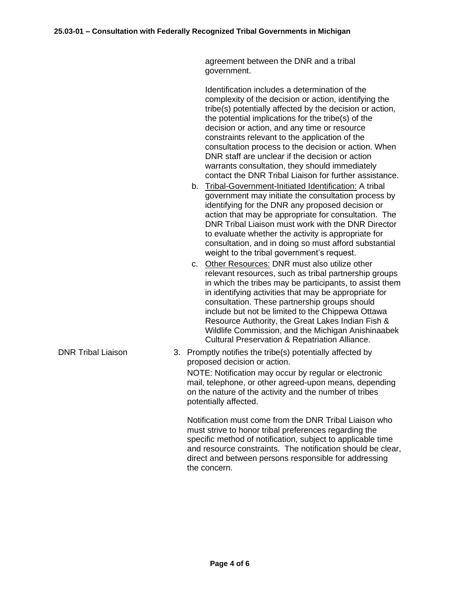**DNR Tribal Liaison** 

 agreement between the DNR and a tribal government.

 Identification includes a determination of the complexity of the decision or action, identifying the tribe(s) potentially affected by the decision or action, the potential implications for the tribe(s) of the decision or action, and any time or resource constraints relevant to the application of the consultation process to the decision or action. When DNR staff are unclear if the decision or action contact the DNR Tribal Liaison for further assistance. warrants consultation, they should immediately

- b. Tribal-Government-Initiated Identification: A tribal government may initiate the consultation process by identifying for the DNR any proposed decision or action that may be appropriate for consultation. The DNR Tribal Liaison must work with the DNR Director to evaluate whether the activity is appropriate for consultation, and in doing so must afford substantial weight to the tribal government's request.
- c. Other Resources: DNR must also utilize other relevant resources, such as tribal partnership groups in which the tribes may be participants, to assist them in identifying activities that may be appropriate for consultation. These partnership groups should include but not be limited to the Chippewa Ottawa Resource Authority, the Great Lakes Indian Fish & Wildlife Commission, and the Michigan Anishinaabek Cultural Preservation & Repatriation Alliance.
- proposed decision or action. NOTE: Notification may occur by regular or electronic mail, telephone, or other agreed-upon means, depending on the nature of the activity and the number of tribes 3. Promptly notifies the tribe(s) potentially affected by potentially affected.

 Notification must come from the DNR Tribal Liaison who must strive to honor tribal preferences regarding the specific method of notification, subject to applicable time and resource constraints. The notification should be clear, direct and between persons responsible for addressing the concern.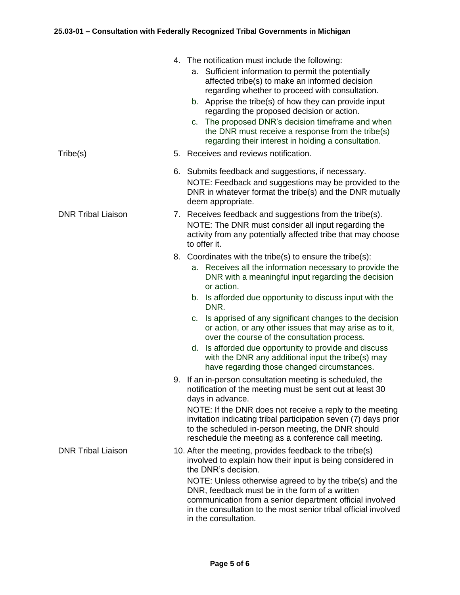|                           |    | 4. The notification must include the following:<br>a. Sufficient information to permit the potentially<br>affected tribe(s) to make an informed decision<br>regarding whether to proceed with consultation.<br>b. Apprise the tribe(s) of how they can provide input<br>regarding the proposed decision or action.<br>The proposed DNR's decision timeframe and when<br>C.<br>the DNR must receive a response from the tribe(s)<br>regarding their interest in holding a consultation. |
|---------------------------|----|----------------------------------------------------------------------------------------------------------------------------------------------------------------------------------------------------------------------------------------------------------------------------------------------------------------------------------------------------------------------------------------------------------------------------------------------------------------------------------------|
| Tribe(s)                  | 5. | Receives and reviews notification.                                                                                                                                                                                                                                                                                                                                                                                                                                                     |
|                           |    | 6. Submits feedback and suggestions, if necessary.<br>NOTE: Feedback and suggestions may be provided to the<br>DNR in whatever format the tribe(s) and the DNR mutually<br>deem appropriate.                                                                                                                                                                                                                                                                                           |
| <b>DNR Tribal Liaison</b> |    | 7. Receives feedback and suggestions from the tribe(s).<br>NOTE: The DNR must consider all input regarding the<br>activity from any potentially affected tribe that may choose<br>to offer it.                                                                                                                                                                                                                                                                                         |
|                           | 8. | Coordinates with the tribe(s) to ensure the tribe(s):<br>a. Receives all the information necessary to provide the<br>DNR with a meaningful input regarding the decision<br>or action.<br>b. Is afforded due opportunity to discuss input with the<br>DNR.<br>Is apprised of any significant changes to the decision<br>C.<br>or action, or any other issues that may arise as to it,                                                                                                   |
|                           |    | over the course of the consultation process.<br>Is afforded due opportunity to provide and discuss<br>d.<br>with the DNR any additional input the tribe(s) may<br>have regarding those changed circumstances.                                                                                                                                                                                                                                                                          |
|                           |    | 9. If an in-person consultation meeting is scheduled, the<br>notification of the meeting must be sent out at least 30<br>days in advance.<br>NOTE: If the DNR does not receive a reply to the meeting<br>invitation indicating tribal participation seven (7) days prior<br>to the scheduled in-person meeting, the DNR should<br>reschedule the meeting as a conference call meeting.                                                                                                 |
| <b>DNR Tribal Liaison</b> |    | 10. After the meeting, provides feedback to the tribe(s)<br>involved to explain how their input is being considered in<br>the DNR's decision.<br>NOTE: Unless otherwise agreed to by the tribe(s) and the<br>DNR, feedback must be in the form of a written<br>communication from a senior department official involved<br>in the consultation to the most senior tribal official involved<br>in the consultation.                                                                     |